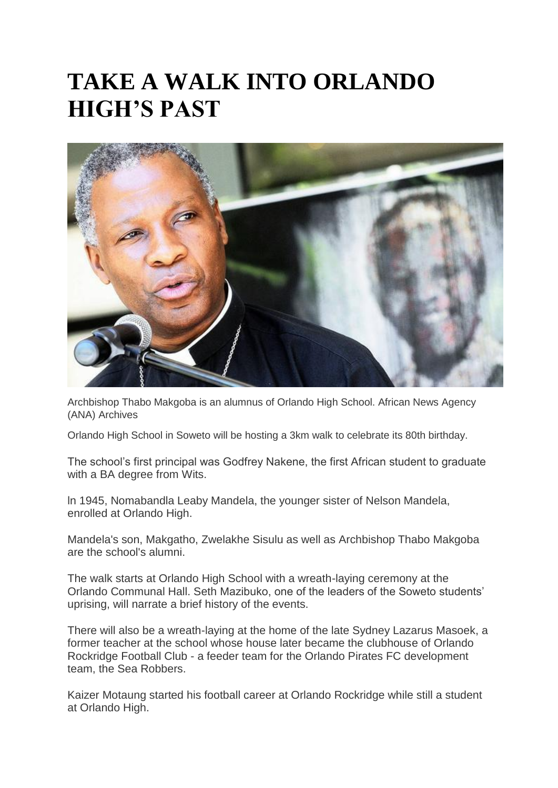## **TAKE A WALK INTO ORLANDO HIGH'S PAST**



Archbishop Thabo Makgoba is an alumnus of Orlando High School. African News Agency (ANA) Archives

Orlando High School in Soweto will be hosting a 3km walk to celebrate its 80th birthday.

The school's first principal was Godfrey Nakene, the first African student to graduate with a BA degree from Wits.

ln 1945, Nomabandla Leaby Mandela, the younger sister of Nelson Mandela, enrolled at Orlando High.

Mandela's son, Makgatho, Zwelakhe Sisulu as well as Archbishop Thabo Makgoba are the school's alumni.

The walk starts at Orlando High School with a wreath-laying ceremony at the Orlando Communal Hall. Seth Mazibuko, one of the leaders of the Soweto students' uprising, will narrate a brief history of the events.

There will also be a wreath-laying at the home of the late Sydney Lazarus Masoek, a former teacher at the school whose house later became the clubhouse of Orlando Rockridge Football Club - a feeder team for the Orlando Pirates FC development team, the Sea Robbers.

Kaizer Motaung started his football career at Orlando Rockridge while still a student at Orlando High.